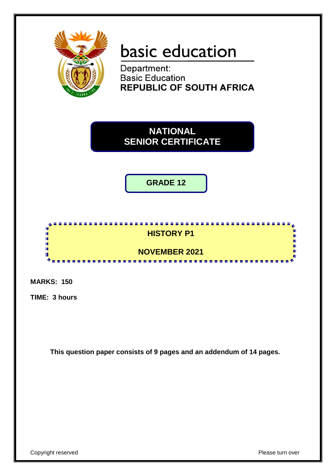

# basic education

Department: **Basic Education REPUBLIC OF SOUTH AFRICA** 



**GRADE 12**



**MARKS: 150**

**TIME: 3 hours**

**This question paper consists of 9 pages and an addendum of 14 pages.**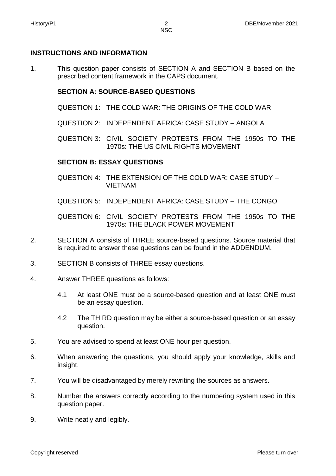#### **INSTRUCTIONS AND INFORMATION**

1. This question paper consists of SECTION A and SECTION B based on the prescribed content framework in the CAPS document.

#### **SECTION A: SOURCE-BASED QUESTIONS**

- QUESTION 1: THE COLD WAR: THE ORIGINS OF THE COLD WAR
- QUESTION 2: INDEPENDENT AFRICA: CASE STUDY ANGOLA

QUESTION 3: CIVIL SOCIETY PROTESTS FROM THE 1950s TO THE 1970s: THE US CIVIL RIGHTS MOVEMENT

#### **SECTION B: ESSAY QUESTIONS**

- QUESTION 4: THE EXTENSION OF THE COLD WAR: CASE STUDY VIETNAM
- QUESTION 5: INDEPENDENT AFRICA: CASE STUDY THE CONGO

QUESTION 6: CIVIL SOCIETY PROTESTS FROM THE 1950s TO THE 1970s: THE BLACK POWER MOVEMENT

- 2. SECTION A consists of THREE source-based questions. Source material that is required to answer these questions can be found in the ADDENDUM.
- 3. SECTION B consists of THREE essay questions.
- 4. Answer THREE questions as follows:
	- 4.1 At least ONE must be a source-based question and at least ONE must be an essay question.
	- 4.2 The THIRD question may be either a source-based question or an essay question.
- 5. You are advised to spend at least ONE hour per question.
- 6. When answering the questions, you should apply your knowledge, skills and insight.
- 7. You will be disadvantaged by merely rewriting the sources as answers.
- 8. Number the answers correctly according to the numbering system used in this question paper.
- 9. Write neatly and legibly.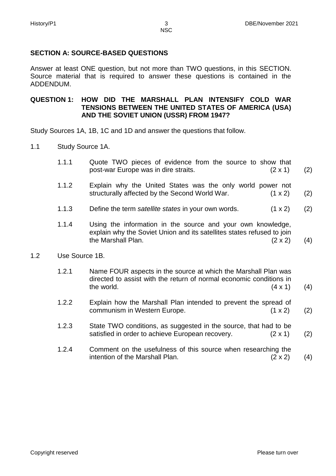# **SECTION A: SOURCE-BASED QUESTIONS**

Answer at least ONE question, but not more than TWO questions, in this SECTION. Source material that is required to answer these questions is contained in the ADDENDUM.

### **QUESTION 1: HOW DID THE MARSHALL PLAN INTENSIFY COLD WAR TENSIONS BETWEEN THE UNITED STATES OF AMERICA (USA) AND THE SOVIET UNION (USSR) FROM 1947?**

Study Sources 1A, 1B, 1C and 1D and answer the questions that follow.

- 1.1 Study Source 1A.
	- 1.1.1 Quote TWO pieces of evidence from the source to show that post-war Europe was in dire straits. (2 x 1) (2)
	- 1.1.2 Explain why the United States was the only world power not structurally affected by the Second World War. (1 x 2) (2)
	- 1.1.3 Define the term *satellite states* in your own words. (1 x 2) (2)
	- 1.1.4 Using the information in the source and your own knowledge, explain why the Soviet Union and its satellites states refused to join the Marshall Plan.  $(2 \times 2)$ (4)
- 1.2 Use Source 1B.
	- 1.2.1 Name FOUR aspects in the source at which the Marshall Plan was directed to assist with the return of normal economic conditions in the world.  $(4 \times 1)$ (4)
	- 1.2.2 Explain how the Marshall Plan intended to prevent the spread of communism in Western Europe. (1 x 2) (2)
	- 1.2.3 State TWO conditions, as suggested in the source, that had to be satisfied in order to achieve European recovery. (2 x 1) (2)
	- 1.2.4 Comment on the usefulness of this source when researching the intention of the Marshall Plan.  $(2 \times 2)$ (4)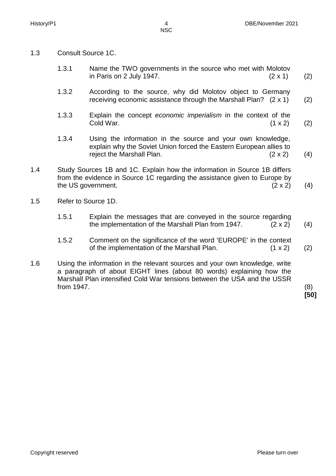- 1.3 Consult Source 1C.
	- 1.3.1 Name the TWO governments in the source who met with Molotov in Paris on 2 July 1947.  $(2 \times 1)$ (2)
	- 1.3.2 According to the source, why did Molotov object to Germany receiving economic assistance through the Marshall Plan? (2 x 1) (2)
	- 1.3.3 Explain the concept *economic imperialism* in the context of the  $\text{Gold War.}$  (1 x 2) (2)
	- 1.3.4 Using the information in the source and your own knowledge, explain why the Soviet Union forced the Eastern European allies to reject the Marshall Plan. (2 x 2) (4)
- 1.4 Study Sources 1B and 1C. Explain how the information in Source 1B differs from the evidence in Source 1C regarding the assistance given to Europe by the US government.  $(2 \times 2)$  (4)
- 1.5 Refer to Source 1D.
	- 1.5.1 Explain the messages that are conveyed in the source regarding the implementation of the Marshall Plan from 1947. (2 x 2) (4)
	- 1.5.2 Comment on the significance of the word 'EUROPE' in the context of the implementation of the Marshall Plan.  $(1 \times 2)$ (2)
- 1.6 Using the information in the relevant sources and your own knowledge, write a paragraph of about EIGHT lines (about 80 words) explaining how the Marshall Plan intensified Cold War tensions between the USA and the USSR from 1947. (8)

**[50]**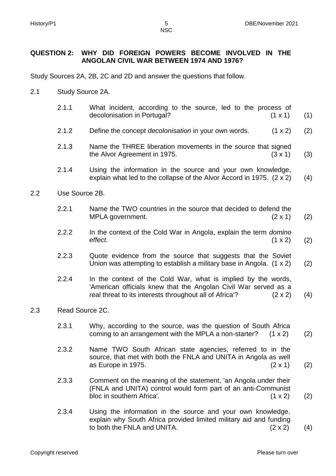### **QUESTION 2: WHY DID FOREIGN POWERS BECOME INVOLVED IN THE ANGOLAN CIVIL WAR BETWEEN 1974 AND 1976?**

Study Sources 2A, 2B, 2C and 2D and answer the questions that follow.

- 2.1 Study Source 2A.
	- 2.1.1 What incident, according to the source, led to the process of decolonisation in Portugal? (1 x 1) (1)
	- 2.1.2 Define the concept *decolonisation* in your own words. (1 x 2) (2)
	- 2.1.3 Name the THREE liberation movements in the source that signed the Alvor Agreement in 1975. (3 x 1) (3)
	- 2.1.4 Using the information in the source and your own knowledge, explain what led to the collapse of the Alvor Accord in 1975. (2 x 2) (4)
- 2.2 Use Source 2B.
	- 2.2.1 Name the TWO countries in the source that decided to defend the MPLA government. (2 x 1) (2)
	- 2.2.2 In the context of the Cold War in Angola, explain the term *domino effect*. (1 x 2) (2)
	- 2.2.3 Quote evidence from the source that suggests that the Soviet Union was attempting to establish a military base in Angola. (1 x 2) (2)
	- 2.2.4 In the context of the Cold War, what is implied by the words, 'American officials knew that the Angolan Civil War served as a real threat to its interests throughout all of Africa'? (2 x 2) (4)

#### 2.3 Read Source 2C.

- 2.3.1 Why, according to the source, was the question of South Africa coming to an arrangement with the MPLA a non-starter?  $(1 \times 2)$ (2)
- 2.3.2 Name TWO South African state agencies, referred to in the source, that met with both the FNLA and UNITA in Angola as well as Europe in 1975.  $(2 \times 1)$ (2)
- 2.3.3 Comment on the meaning of the statement, 'an Angola under their (FNLA and UNITA) control would form part of an anti-Communist bloc in southern Africa'. (1 x 2) (2)
- 2.3.4 Using the information in the source and your own knowledge, explain why South Africa provided limited military aid and funding to both the FNLA and UNITA. (2 x 2) (4)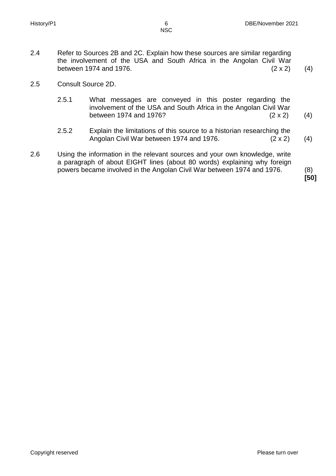- 2.4 Refer to Sources 2B and 2C. Explain how these sources are similar regarding the involvement of the USA and South Africa in the Angolan Civil War between 1974 and 1976.  $(2 \times 2)$  (4)
- 2.5 Consult Source 2D.
	- 2.5.1 What messages are conveyed in this poster regarding the involvement of the USA and South Africa in the Angolan Civil War between 1974 and 1976? (2 x 2) (4)
	- 2.5.2 Explain the limitations of this source to a historian researching the Angolan Civil War between 1974 and 1976. (2 x 2) (4)
- 2.6 Using the information in the relevant sources and your own knowledge, write a paragraph of about EIGHT lines (about 80 words) explaining why foreign powers became involved in the Angolan Civil War between 1974 and 1976. (8)

**[50]**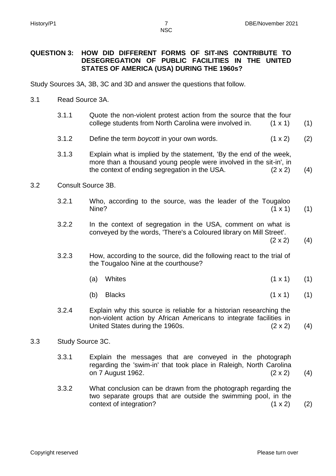#### **QUESTION 3: HOW DID DIFFERENT FORMS OF SIT-INS CONTRIBUTE TO DESEGREGATION OF PUBLIC FACILITIES IN THE UNITED STATES OF AMERICA (USA) DURING THE 1960s?**

Study Sources 3A, 3B, 3C and 3D and answer the questions that follow.

#### 3.1 Read Source 3A.

- 3.1.1 Quote the non-violent protest action from the source that the four college students from North Carolina were involved in. (1 x 1) (1)
- 3.1.2 Define the term *boycott* in your own words. (1 x 2) (2)
- 3.1.3 Explain what is implied by the statement, 'By the end of the week, more than a thousand young people were involved in the sit-in', in the context of ending segregation in the USA.  $(2 \times 2)$ (4)
- 3.2 Consult Source 3B.
	- 3.2.1 Who, according to the source, was the leader of the Tougaloo Nine?  $(1 \times 1)$ (1)
	- 3.2.2 In the context of segregation in the USA, comment on what is conveyed by the words, 'There's a Coloured library on Mill Street'.  $(2 \times 2)$

(4)

- 3.2.3 How, according to the source, did the following react to the trial of the Tougaloo Nine at the courthouse?
	- (a) Whites (1 x 1) (1)
	- (b) Blacks (1 x 1) (1)
- 3.2.4 Explain why this source is reliable for a historian researching the non-violent action by African Americans to integrate facilities in United States during the 1960s. (2 x 2) (4)

#### 3.3 Study Source 3C.

- 3.3.1 Explain the messages that are conveyed in the photograph regarding the 'swim-in' that took place in Raleigh, North Carolina on 7 August 1962. (2 x 2) (4)
- 3.3.2 What conclusion can be drawn from the photograph regarding the two separate groups that are outside the swimming pool, in the context of integration? (1 x 2) (2)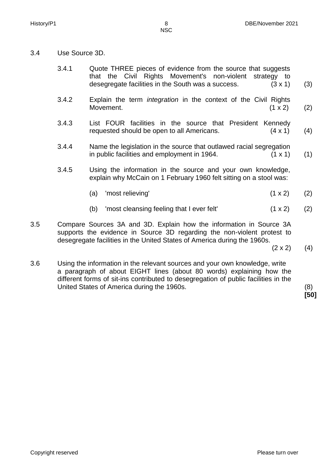3.4 Use Source 3D.

| 3.4.1 | Quote THREE pieces of evidence from the source that suggests         |     |
|-------|----------------------------------------------------------------------|-----|
|       | that the Civil Rights Movement's non-violent strategy to             |     |
|       | desegregate facilities in the South was a success.<br>$(3 \times 1)$ | (3) |

- 3.4.2 Explain the term *integration* in the context of the Civil Rights Movement. (1 x 2) (2)
- 3.4.3 List FOUR facilities in the source that President Kennedy requested should be open to all Americans. (4 x 1) (4)
- 3.4.4 Name the legislation in the source that outlawed racial segregation in public facilities and employment in 1964.  $(1 \times 1)$ (1)
- 3.4.5 Using the information in the source and your own knowledge, explain why McCain on 1 February 1960 felt sitting on a stool was:
	- (a) 'most relieving'  $(1 \times 2)$ (2)
	- (b) 'most cleansing feeling that I ever felt'  $(1 \times 2)$ (2)
- 3.5 Compare Sources 3A and 3D. Explain how the information in Source 3A supports the evidence in Source 3D regarding the non-violent protest to desegregate facilities in the United States of America during the 1960s.
	- $(2 \times 2)$  (4)
- 3.6 Using the information in the relevant sources and your own knowledge, write a paragraph of about EIGHT lines (about 80 words) explaining how the different forms of sit-ins contributed to desegregation of public facilities in the United States of America during the 1960s. (8)

**[50]**